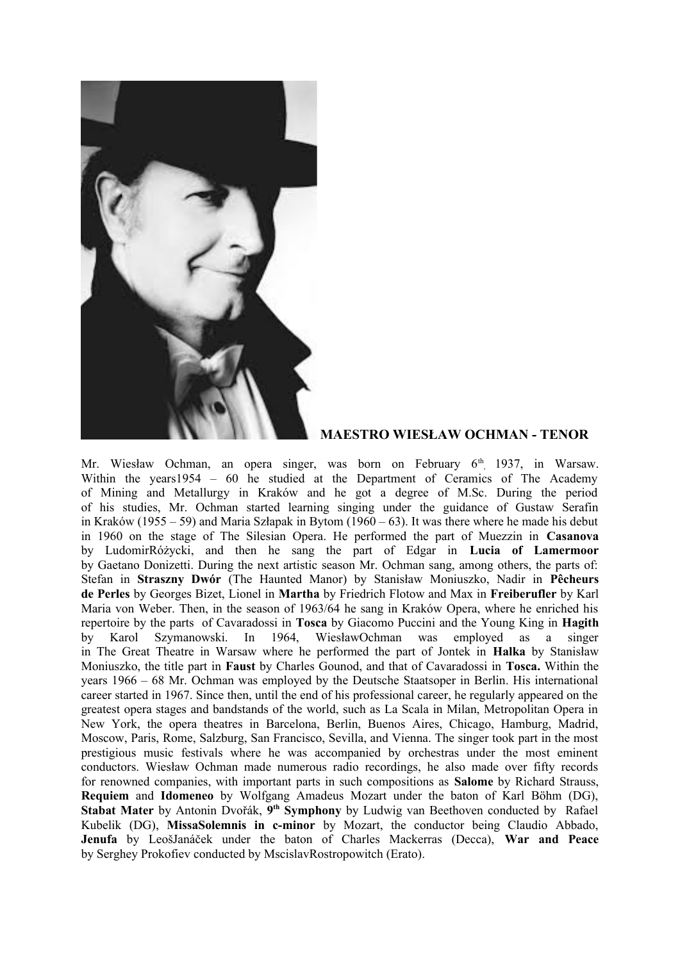

## **MAESTRO WIESŁAW OCHMAN - TENOR**

Mr. Wiesław Ochman, an opera singer, was born on February 6<sup>th</sup>, 1937, in Warsaw. Within the years1954 – 60 he studied at the Department of Ceramics of The Academy of Mining and Metallurgy in Kraków and he got a degree of M.Sc. During the period of his studies, Mr. Ochman started learning singing under the guidance of Gustaw Serafin in Kraków (1955 – 59) and Maria Szłapak in Bytom (1960 – 63). It was there where he made his debut in 1960 on the stage of The Silesian Opera. He performed the part of Muezzin in **Casanova** by LudomirRóżycki, and then he sang the part of Edgar in **Lucia of Lamermoor** by Gaetano Donizetti. During the next artistic season Mr. Ochman sang, among others, the parts of: Stefan in **Straszny Dwór** (The Haunted Manor) by Stanisław Moniuszko, Nadir in **Pêcheurs de Perles** by Georges Bizet, Lionel in **Martha** by Friedrich Flotow and Max in **Freiberufler** by Karl Maria von Weber. Then, in the season of 1963/64 he sang in Kraków Opera, where he enriched his repertoire by the parts of Cavaradossi in **Tosca** by Giacomo Puccini and the Young King in **Hagith** by Karol Szymanowski. In 1964, WiesławOchman was employed as a singer in The Great Theatre in Warsaw where he performed the part of Jontek in **Halka** by Stanisław Moniuszko, the title part in **Faust** by Charles Gounod, and that of Cavaradossi in **Tosca.** Within the years 1966 – 68 Mr. Ochman was employed by the Deutsche Staatsoper in Berlin. His international career started in 1967. Since then, until the end of his professional career, he regularly appeared on the greatest opera stages and bandstands of the world, such as La Scala in Milan, Metropolitan Opera in New York, the opera theatres in Barcelona, Berlin, Buenos Aires, Chicago, Hamburg, Madrid, Moscow, Paris, Rome, Salzburg, San Francisco, Sevilla, and Vienna. The singer took part in the most prestigious music festivals where he was accompanied by orchestras under the most eminent conductors. Wiesław Ochman made numerous radio recordings, he also made over fifty records for renowned companies, with important parts in such compositions as **Salome** by Richard Strauss, **Requiem** and **Idomeneo** by Wolfgang Amadeus Mozart under the baton of Karl Böhm (DG), **Stabat Mater** by Antonin Dvořák, 9<sup>th</sup> Symphony by Ludwig van Beethoven conducted by Rafael Kubelik (DG), **MissaSolemnis in c-minor** by Mozart, the conductor being Claudio Abbado, **Jenufa** by LeošJanáček under the baton of Charles Mackerras (Decca), **War and Peace** by Serghey Prokofiev conducted by MscislavRostropowitch (Erato).